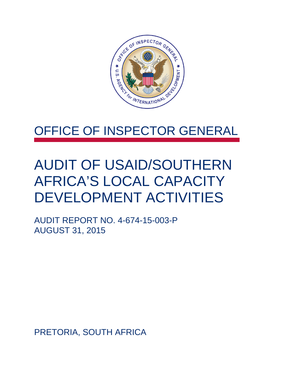

### OFFICE OF INSPECTOR GENERAL

## AUDIT OF USAID/SOUTHERN AFRICA'S LOCAL CAPACITY DEVELOPMENT ACTIVITIES

AUDIT REPORT NO. 4-674-15-003-P AUGUST 31, 2015

PRETORIA, SOUTH AFRICA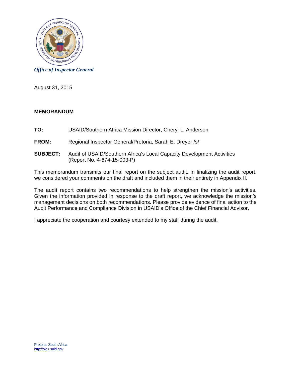

*Office of Inspector General* 

August 31, 2015

#### **MEMORANDUM**

- TO: USAID/Southern Africa Mission Director, Cheryl L. Anderson
- **FROM:** Regional Inspector General/Pretoria, Sarah E. Dreyer /s/
- **SUBJECT:** Audit of USAID/Southern Africa's Local Capacity Development Activities (Report No. 4-674-15-003-P)

This memorandum transmits our final report on the subject audit. In finalizing the audit report, we considered your comments on the draft and included them in their entirety in Appendix II.

The audit report contains two recommendations to help strengthen the mission's activities. Given the information provided in response to the draft report, we acknowledge the mission's management decisions on both recommendations. Please provide evidence of final action to the Audit Performance and Compliance Division in USAID's Office of the Chief Financial Advisor.

I appreciate the cooperation and courtesy extended to my staff during the audit.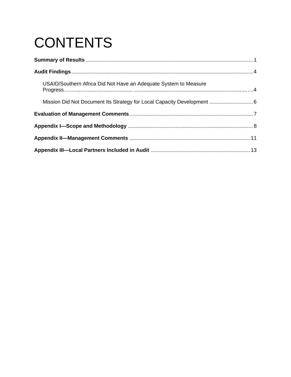# **CONTENTS**

| USAID/Southern Africa Did Not Have an Adequate System to Measure        |  |
|-------------------------------------------------------------------------|--|
| Mission Did Not Document Its Strategy for Local Capacity Development  6 |  |
|                                                                         |  |
|                                                                         |  |
|                                                                         |  |
|                                                                         |  |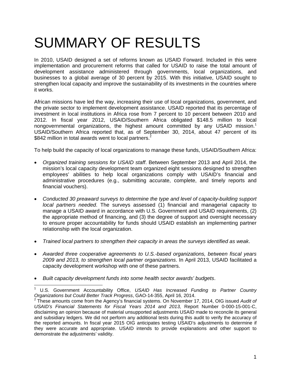## SUMMARY OF RESULTS

In 2010, USAID designed a set of reforms known as USAID Forward. Included in this were implementation and procurement reforms that called for USAID to raise the total amount of development assistance administered through governments, local organizations, and businesses to a global average of 30 percent by 2015. With this initiative, USAID sought to strengthen local capacity and improve the sustainability of its investments in the countries where it works.

 2012. In fiscal year 2012, USAID/Southern Africa obligated \$148.5 million to local African missions have led the way, increasing their use of local organizations, government, and the private sector to implement development assistance. USAID reported that its percentage of investment in local institutions in Africa rose from 7 percent to 10 percent between 2010 and nongovernmental organizations, the highest amount committed by any USAID mission.<sup>1</sup> USAID/Southern Africa reported that, as of September 30, 2014, about 47 percent of its \$842 million in total awards went to local partners.<sup>2</sup>

To help build the capacity of local organizations to manage these funds, USAID/Southern Africa:

- *Organized training sessions for USAID staff*. Between September 2013 and April 2014, the mission's local capacity development team organized eight sessions designed to strengthen employees' abilities to help local organizations comply with USAID's financial and administrative procedures (e.g., submitting accurate, complete, and timely reports and financial vouchers).
- *Conducted 30 preaward surveys to determine the type and level of capacity-building support local partners needed*. The surveys assessed (1) financial and managerial capacity to manage a USAID award in accordance with U.S. Government and USAID requirements, (2) the appropriate method of financing, and (3) the degree of support and oversight necessary to ensure proper accountability for funds should USAID establish an implementing partner relationship with the local organization.
- *Trained local partners to strengthen their capacity in areas the surveys identified as weak*.
- *Awarded three cooperative agreements to U.S.-based organizations, between fiscal years 2009 and 2013, to strengthen local partner organizations*. In April 2013, USAID facilitated a capacity development workshop with one of these partners.
- *Built capacity development funds into some health sector awards' budgets*.

 U.S. Government Accountability Office, *USAID Has Increased Funding to Partner Country Organizations but Could Better Track Progress*, GAO-14-355, April 16, 2014. 2 1

These amounts come from the Agency's financial systems. On November 17, 2014, OIG issued *Audit of USAID's Financial Statements for Fiscal Years 2014 and 2013,* Report Number 0-000-15-001-C, disclaiming an opinion because of material unsupported adjustments USAID made to reconcile its general and subsidiary ledgers. We did not perform any additional tests during this audit to verify the accuracy of the reported amounts. In fiscal year 2015 OIG anticipates testing USAID's adjustments to determine if they were accurate and appropriate. USAID intends to provide explanations and other support to demonstrate the adjustments' validity.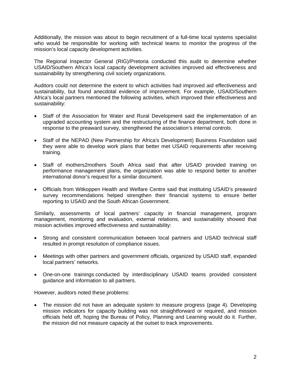Additionally, the mission was about to begin recruitment of a full-time local systems specialist who would be responsible for working with technical teams to monitor the progress of the mission's local capacity development activities.

The Regional Inspector General (RIG)/Pretoria conducted this audit to determine whether USAID/Southern Africa's local capacity development activities improved aid effectiveness and sustainability by strengthening civil society organizations.

Auditors could not determine the extent to which activities had improved aid effectiveness and sustainability, but found anecdotal evidence of improvement. For example, USAID/Southern Africa's local partners mentioned the following activities, which improved their effectiveness and sustainability:

- Staff of the Association for Water and Rural Development said the implementation of an upgraded accounting system and the restructuring of the finance department, both done in response to the preaward survey, strengthened the association's internal controls.
- Staff of the NEPAD (New Partnership for Africa's Development) Business Foundation said they were able to develop work plans that better met USAID requirements after receiving training.
- Staff of mothers2mothers South Africa said that after USAID provided training on performance management plans, the organization was able to respond better to another international donor's request for a similar document.
- Officials from Witkoppen Health and Welfare Centre said that instituting USAID's preaward survey recommendations helped strengthen their financial systems to ensure better reporting to USAID and the South African Government.

Similarly, assessments of local partners' capacity in financial management, program management, monitoring and evaluation, external relations, and sustainability showed that mission activities improved effectiveness and sustainability:

- Strong and consistent communication between local partners and USAID technical staff resulted in prompt resolution of compliance issues.
- Meetings with other partners and government officials, organized by USAID staff, expanded local partners' networks.
- One-on-one trainings conducted by interdisciplinary USAID teams provided consistent guidance and information to all partners.

However, auditors noted these problems:

 The mission did not have an adequate system to measure progress (page 4). Developing mission indicators for capacity building was not straightforward or required, and mission officials held off, hoping the Bureau of Policy, Planning and Learning would do it. Further, the mission did not measure capacity at the outset to track improvements.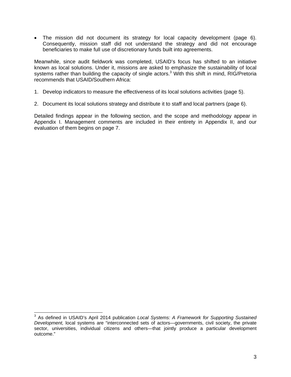The mission did not document its strategy for local capacity development (page 6). Consequently, mission staff did not understand the strategy and did not encourage beneficiaries to make full use of discretionary funds built into agreements.

Meanwhile, since audit fieldwork was completed, USAID's focus has shifted to an initiative known as local solutions. Under it, missions are asked to emphasize the sustainability of local systems rather than building the capacity of single actors.<sup>3</sup> With this shift in mind, RIG/Pretoria recommends that USAID/Southern Africa:

- 1. Develop indicators to measure the effectiveness of its local solutions activities (page 5).
- 2. Document its local solutions strategy and distribute it to staff and local partners (page 6).

Appendix I. Management comments are included in their entirety in Appendix II, and our evaluation of them begins on page 7. Detailed findings appear in the following section, and the scope and methodology appear in evaluation of them begins on page 7.

 3 As defined in USAID's April 2014 publication *Local Systems: A Framework for Supporting Sustained Development,* local systems are "interconnected sets of actors—governments, civil society, the private sector, universities, individual citizens and others—that jointly produce a particular development outcome."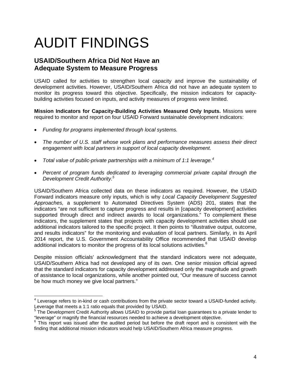## AUDIT FINDINGS

#### **USAID/Southern Africa Did Not Have an Adequate System to Measure Progress**

USAID called for activities to strengthen local capacity and improve the sustainability of development activities. However, USAID/Southern Africa did not have an adequate system to monitor its progress toward this objective. Specifically, the mission indicators for capacitybuilding activities focused on inputs, and activity measures of progress were limited.

**Mission Indicators for Capacity-Building Activities Measured Only Inputs.** Missions were required to monitor and report on four USAID Forward sustainable development indicators:

 *Funding for programs implemented through local systems.* 

- *The number of U.S. staff whose work plans and performance measures assess their direct engagement with local partners in support of local capacity development.*
- *Total value of public-private partnerships with a minimum of 1:1 leverage.<sup>4</sup>*
- *Development Credit Authority.5 Percent of program funds dedicated to leveraging commercial private capital through the*

additional indicators to monitor the progress of its local solutions activities.<sup>6</sup> USAID/Southern Africa collected data on these indicators as required. However, the USAID Forward indicators measure only inputs, which is why *Local Capacity Development Suggested Approaches,* a supplement to Automated Directives System (ADS) 201, states that the indicators "are not sufficient to capture progress and results in [capacity development] activities supported through direct and indirect awards to local organizations." To complement these indicators, the supplement states that projects with capacity development activities should use additional indicators tailored to the specific project. It then points to "illustrative output, outcome, and results indicators" for the monitoring and evaluation of local partners. Similarly, in its April 2014 report, the U.S. Government Accountability Office recommended that USAID develop

Despite mission officials' acknowledgment that the standard indicators were not adequate, USAID/Southern Africa had not developed any of its own. One senior mission official agreed that the standard indicators for capacity development addressed only the magnitude and growth of assistance to local organizations, while another pointed out, "Our measure of success cannot be how much money we give local partners."

<sup>&</sup>lt;sup>4</sup> Leverage refers to in-kind or cash contributions from the private sector toward a USAID-funded activity.

Leverage that meets a 1:1 ratio equals that provided by USAID.<br><sup>5</sup> The Development Credit Authority allows USAID to provide partial loan guarantees to a private lender to "leverage" or magnify the financial resources needed to achieve a development objective. 6

 $6$  This report was issued after the audited period but before the draft report and is consistent with the finding that additional mission indicators would help USAID/Southern Africa measure progress.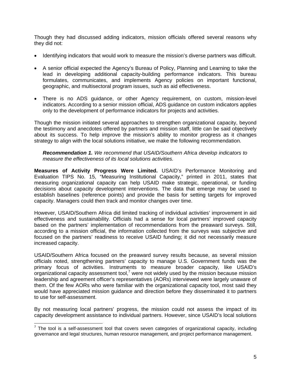Though they had discussed adding indicators, mission officials offered several reasons why they did not:

- Identifying indicators that would work to measure the mission's diverse partners was difficult.
- geographic, and multisectoral program issues, such as aid effectiveness. A senior official expected the Agency's Bureau of Policy, Planning and Learning to take the lead in developing additional capacity-building performance indicators. This bureau formulates, communicates, and implements Agency policies on important functional,
- There is no ADS guidance, or other Agency requirement, on custom, mission-level indicators. According to a senior mission official, ADS guidance on custom indicators applies only to the development of performance indicators for projects and activities.

Though the mission initiated several approaches to strengthen organizational capacity, beyond the testimony and anecdotes offered by partners and mission staff, little can be said objectively about its success. To help improve the mission's ability to monitor progress as it changes strategy to align with the local solutions initiative, we make the following recommendation.

*Recommendation 1. We recommend that USAID/Southern Africa develop indicators to measure the effectiveness of its local solutions activities.* 

**Measures of Activity Progress Were Limited.** USAID's Performance Monitoring and Evaluation TIPS No. 15, "Measuring Institutional Capacity," printed in 2011, states that measuring organizational capacity can help USAID make strategic, operational, or funding decisions about capacity development interventions. The data that emerge may be used to establish baselines (reference points) and provide the basis for setting targets for improved capacity. Managers could then track and monitor changes over time.

However, USAID/Southern Africa did limited tracking of individual activities' improvement in aid effectiveness and sustainability. Officials had a sense for local partners' improved capacity based on the partners' implementation of recommendations from the preaward surveys. Still, according to a mission official, the information collected from the surveys was subjective and focused on the partners' readiness to receive USAID funding; it did not necessarily measure increased capacity.

USAID/Southern Africa focused on the preaward survey results because, as several mission officials noted, strengthening partners' capacity to manage U.S. Government funds was the primary focus of activities. Instruments to measure broader capacity, like USAID's organizational capacity assessment tool,<sup>7</sup> were not widely used by the mission because mission leadership and agreement officer's representatives (AORs) interviewed were largely unaware of them. Of the few AORs who were familiar with the organizational capacity tool, most said they would have appreciated mission guidance and direction before they disseminated it to partners to use for self-assessment.

By not measuring local partners' progress, the mission could not assess the impact of its capacity development assistance to individual partners. However, since USAID's local solutions

 7 The tool is a self-assessment tool that covers seven categories of organizational capacity, including governance and legal structures, human resource management, and project performance management.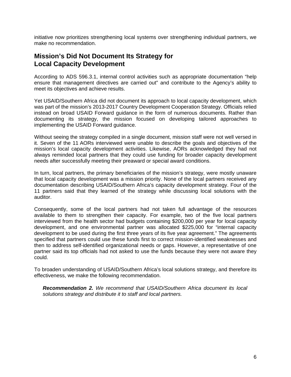initiative now prioritizes strengthening local systems over strengthening individual partners, we make no recommendation.

#### **Mission's Did Not Document Its Strategy for Local Capacity Development**

According to ADS 596.3.1, internal control activities such as appropriate documentation "help ensure that management directives are carried out" and contribute to the Agency's ability to meet its objectives and achieve results.

Yet USAID/Southern Africa did not document its approach to local capacity development, which was part of the mission's 2013-2017 Country Development Cooperation Strategy. Officials relied instead on broad USAID Forward guidance in the form of numerous documents. Rather than documenting its strategy, the mission focused on developing tailored approaches to implementing the USAID Forward guidance.

Without seeing the strategy compiled in a single document, mission staff were not well versed in it. Seven of the 11 AORs interviewed were unable to describe the goals and objectives of the mission's local capacity development activities. Likewise, AORs acknowledged they had not always reminded local partners that they could use funding for broader capacity development needs after successfully meeting their preaward or special award conditions.

In turn, local partners, the primary beneficiaries of the mission's strategy, were mostly unaware that local capacity development was a mission priority. None of the local partners received any documentation describing USAID/Southern Africa's capacity development strategy. Four of the 11 partners said that they learned of the strategy while discussing local solutions with the auditor.

Consequently, some of the local partners had not taken full advantage of the resources available to them to strengthen their capacity. For example, two of the five local partners interviewed from the health sector had budgets containing \$200,000 per year for local capacity development, and one environmental partner was allocated \$225,000 for "internal capacity development to be used during the first three years of its five year agreement." The agreements specified that partners could use these funds first to correct mission-identified weaknesses and then to address self-identified organizational needs or gaps. However, a representative of one partner said its top officials had not asked to use the funds because they were not aware they could.

To broaden understanding of USAID/Southern Africa's local solutions strategy, and therefore its effectiveness, we make the following recommendation.

*Recommendation 2. We recommend that USAID/Southern Africa document its local solutions strategy and distribute it to staff and local partners.*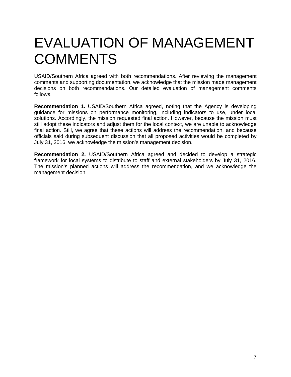## EVALUATION OF MANAGEMENT **COMMENTS**

USAID/Southern Africa agreed with both recommendations. After reviewing the management comments and supporting documentation, we acknowledge that the mission made management decisions on both recommendations. Our detailed evaluation of management comments follows.

**Recommendation 1.** USAID/Southern Africa agreed, noting that the Agency is developing guidance for missions on performance monitoring, including indicators to use, under local solutions. Accordingly, the mission requested final action. However, because the mission must still adopt these indicators and adjust them for the local context, we are unable to acknowledge final action. Still, we agree that these actions will address the recommendation, and because officials said during subsequent discussion that all proposed activities would be completed by July 31, 2016, we acknowledge the mission's management decision.

**Recommendation 2.** USAID/Southern Africa agreed and decided to develop a strategic framework for local systems to distribute to staff and external stakeholders by July 31, 2016. The mission's planned actions will address the recommendation, and we acknowledge the management decision.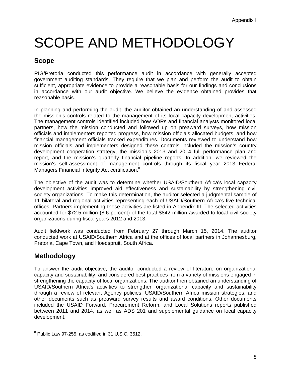## SCOPE AND METHODOLOGY

#### **Scope**

RIG/Pretoria conducted this performance audit in accordance with generally accepted government auditing standards. They require that we plan and perform the audit to obtain sufficient, appropriate evidence to provide a reasonable basis for our findings and conclusions in accordance with our audit objective. We believe the evidence obtained provides that reasonable basis.

In planning and performing the audit, the auditor obtained an understanding of and assessed the mission's controls related to the management of its local capacity development activities. The management controls identified included how AORs and financial analysts monitored local partners, how the mission conducted and followed up on preaward surveys, how mission officials and implementers reported progress, how mission officials allocated budgets, and how financial management officials tracked expenditures. Documents reviewed to understand how mission officials and implementers designed these controls included the mission's country development cooperation strategy, the mission's 2013 and 2014 full performance plan and report, and the mission's quarterly financial pipeline reports. In addition, we reviewed the mission's self-assessment of management controls through its fiscal year 2013 Federal Managers Financial Integrity Act certification.<sup>8</sup>

The objective of the audit was to determine whether USAID/Southern Africa's local capacity development activities improved aid effectiveness and sustainability by strengthening civil society organizations. To make this determination, the auditor selected a judgmental sample of 11 bilateral and regional activities representing each of USAID/Southern Africa's five technical offices. Partners implementing these activities are listed in Appendix III. The selected activities accounted for \$72.5 million (8.6 percent) of the total \$842 million awarded to local civil society organizations during fiscal years 2012 and 2013.

Audit fieldwork was conducted from February 27 through March 15, 2014. The auditor conducted work at USAID/Southern Africa and at the offices of local partners in Johannesburg, Pretoria, Cape Town, and Hoedspruit, South Africa.

### **Methodology**

To answer the audit objective, the auditor conducted a review of literature on organizational capacity and sustainability, and considered best practices from a variety of missions engaged in strengthening the capacity of local organizations. The auditor then obtained an understanding of USAID/Southern Africa's activities to strengthen organizational capacity and sustainability through a review of relevant Agency policies, USAID/Southern Africa mission strategies, and other documents such as preaward survey results and award conditions. Other documents included the USAID Forward, Procurement Reform, and Local Solutions reports published between 2011 and 2014, as well as ADS 201 and supplemental guidance on local capacity development.

 8 Public Law 97-255, as codified in 31 U.S.C. 3512.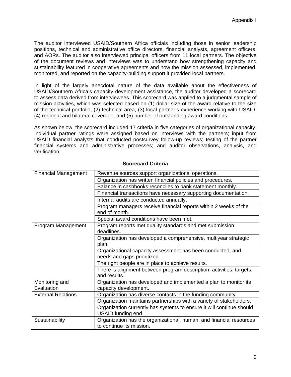The auditor interviewed USAID/Southern Africa officials including those in senior leadership positions, technical and administrative office directors, financial analysts, agreement officers, and AORs. The auditor also interviewed principal officers from 11 local partners. The objective of the document reviews and interviews was to understand how strengthening capacity and sustainability featured in cooperative agreements and how the mission assessed, implemented, monitored, and reported on the capacity-building support it provided local partners.

In light of the largely anecdotal nature of the data available about the effectiveness of USAID/Southern Africa's capacity development assistance, the auditor developed a scorecard to assess data derived from interviewees. This scorecard was applied to a judgmental sample of mission activities, which was selected based on (1) dollar size of the award relative to the size of the technical portfolio, (2) technical area, (3) local partner's experience working with USAID, (4) regional and bilateral coverage, and (5) number of outstanding award conditions.

As shown below, the scorecard included 17 criteria in five categories of organizational capacity. Individual partner ratings were assigned based on interviews with the partners; input from USAID financial analysts that conducted postsurvey follow-up reviews; testing of the partner financial systems and administrative processes; and auditor observations, analysis, and verification.

| <b>Financial Management</b>  | Revenue sources support organizations' operations.                                              |  |  |  |  |
|------------------------------|-------------------------------------------------------------------------------------------------|--|--|--|--|
|                              | Organization has written financial policies and procedures.                                     |  |  |  |  |
|                              | Balance in cashbooks reconciles to bank statement monthly.                                      |  |  |  |  |
|                              | Financial transactions have necessary supporting documentation.                                 |  |  |  |  |
|                              | Internal audits are conducted annually.                                                         |  |  |  |  |
|                              | Program managers receive financial reports within 2 weeks of the<br>end of month.               |  |  |  |  |
|                              | Special award conditions have been met.                                                         |  |  |  |  |
| Program Management           | Program reports met quality standards and met submission<br>deadlines.                          |  |  |  |  |
|                              | Organization has developed a comprehensive, multiyear strategic<br>plan.                        |  |  |  |  |
|                              | Organizational capacity assessment has been conducted, and<br>needs and gaps prioritized.       |  |  |  |  |
|                              | The right people are in place to achieve results.                                               |  |  |  |  |
|                              | There is alignment between program description, activities, targets,<br>and results.            |  |  |  |  |
| Monitoring and<br>Evaluation | Organization has developed and implemented a plan to monitor its<br>capacity development.       |  |  |  |  |
| <b>External Relations</b>    | Organization has diverse contacts in the funding community.                                     |  |  |  |  |
|                              | Organization maintains partnerships with a variety of stakeholders.                             |  |  |  |  |
|                              | Organization currently has systems to ensure it will continue should<br>USAID funding end.      |  |  |  |  |
| Sustainability               | Organization has the organizational, human, and financial resources<br>to continue its mission. |  |  |  |  |

#### **Scorecard Criteria**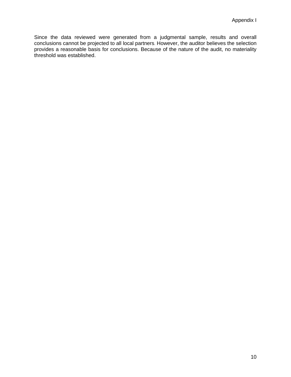Since the data reviewed were generated from a judgmental sample, results and overall conclusions cannot be projected to all local partners. However, the auditor believes the selection provides a reasonable basis for conclusions. Because of the nature of the audit, no materiality threshold was established.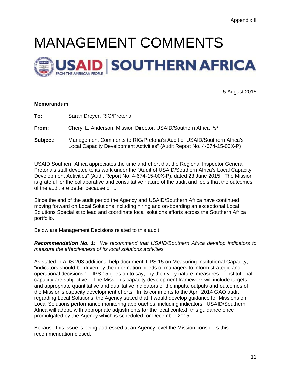# MANAGEMENT COMMENTS



5 August 2015

#### **Memorandum**

To: Sarah Dreyer, RIG/Pretoria

**From:** Cheryl L. Anderson, Mission Director, USAID/Southern Africa /s/

**Subject:** Management Comments to RIG/Pretoria's Audit of USAID/Southern Africa's Local Capacity Development Activities" (Audit Report No. 4-674-15-00X-P)

of the audit are better because of it. USAID Southern Africa appreciates the time and effort that the Regional Inspector General Pretoria's staff devoted to its work under the "Audit of USAID/Southern Africa's Local Capacity Development Activities" (Audit Report No. 4-674-15-00X-P), dated 23 June 2015. The Mission is grateful for the collaborative and consultative nature of the audit and feels that the outcomes

Since the end of the audit period the Agency and USAID/Southern Africa have continued moving forward on Local Solutions including hiring and on-boarding an exceptional Local Solutions Specialist to lead and coordinate local solutions efforts across the Southern Africa portfolio.

Below are Management Decisions related to this audit:

*Recommendation No. 1: We recommend that USAID/Southern Africa develop indicators to measure the effectiveness of its local solutions activities.* 

As stated in ADS 203 additional help document TIPS 15 on Measuring Institutional Capacity, "indicators should be driven by the information needs of managers to inform strategic and operational decisions." TIPS 15 goes on to say, "by their very nature, measures of institutional capacity are subjective." The Mission's capacity development framework will include targets and appropriate quantitative and qualitative indicators of the inputs, outputs and outcomes of the Mission's capacity development efforts. In its comments to the April 2014 GAO audit regarding Local Solutions, the Agency stated that it would develop guidance for Missions on Local Solutions performance monitoring approaches, including indicators. USAID/Southern Africa will adopt, with appropriate adjustments for the local context, this guidance once promulgated by the Agency which is scheduled for December 2015.

Because this issue is being addressed at an Agency level the Mission considers this recommendation closed.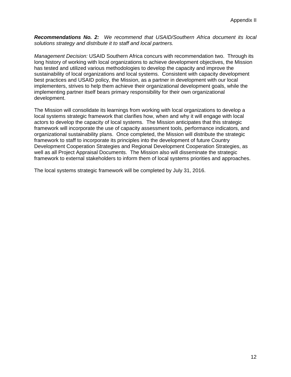*Recommendations No. 2: We recommend that USAID/Southern Africa document its local solutions strategy and distribute it to staff and local partners.* 

*Management Decision:* USAID Southern Africa concurs with recommendation two. Through its long history of working with local organizations to achieve development objectives, the Mission has tested and utilized various methodologies to develop the capacity and improve the sustainability of local organizations and local systems. Consistent with capacity development best practices and USAID policy, the Mission, as a partner in development with our local implementers, strives to help them achieve their organizational development goals, while the implementing partner itself bears primary responsibility for their own organizational development.

The Mission will consolidate its learnings from working with local organizations to develop a local systems strategic framework that clarifies how, when and why it will engage with local actors to develop the capacity of local systems. The Mission anticipates that this strategic framework will incorporate the use of capacity assessment tools, performance indicators, and organizational sustainability plans. Once completed, the Mission will distribute the strategic framework to staff to incorporate its principles into the development of future Country Development Cooperation Strategies and Regional Development Cooperation Strategies, as well as all Project Appraisal Documents. The Mission also will disseminate the strategic framework to external stakeholders to inform them of local systems priorities and approaches.

The local systems strategic framework will be completed by July 31, 2016.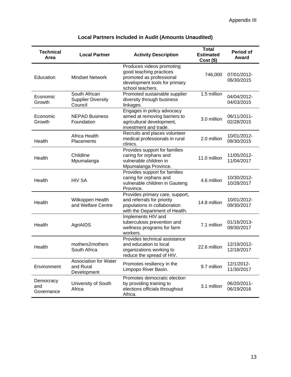| <b>Technical</b><br>Area       | <b>Local Partner</b>                                     | <b>Activity Description</b>                                                                                                           | <b>Total</b><br><b>Estimated</b><br>$Cost($ \$) | Period of<br>Award        |
|--------------------------------|----------------------------------------------------------|---------------------------------------------------------------------------------------------------------------------------------------|-------------------------------------------------|---------------------------|
| Education                      | <b>Mindset Network</b>                                   | Produces videos promoting<br>good teaching practices<br>promoted as professional<br>development tools for primary<br>school teachers. | 746,000                                         | 07/01/2012-<br>06/30/2015 |
| Economic<br>Growth             | South African<br><b>Supplier Diversity</b><br>Council    | Promoted sustainable supplier<br>diversity through business<br>linkages.                                                              | 1.5 million                                     | 04/04/2012-<br>04/03/2015 |
| Economic<br>Growth             | <b>NEPAD Business</b><br>Foundation                      | Engages in policy advocacy<br>aimed at removing barriers to<br>agricultural development,<br>investment and trade.                     | 3.0 million                                     | 06/11/2011-<br>02/28/2015 |
| Health                         | Africa Health<br>Placements                              | Recruits and places volunteer<br>medical professionals in rural<br>clinics.                                                           | 2.0 million                                     | 10/01/2012-<br>09/30/2015 |
| Health                         | Childline<br>Mpumalanga                                  | Provides support for families<br>caring for orphans and<br>vulnerable children in<br>Mpumalanga Province.                             | 11.0 million                                    | 11/05/2012-<br>11/04/2017 |
| Health                         | <b>HIV SA</b>                                            | Provides support for families<br>caring for orphans and<br>vulnerable children in Gauteng<br>Province.                                | 4.6 million                                     | 10/30/2012-<br>10/28/2017 |
| Health                         | Witkoppen Health<br>and Welfare Centre                   | Provides primary care, support,<br>and referrals for priority<br>populations in collaboration<br>with the Department of Health.       | 14.8 million                                    | 10/01/2012-<br>09/30/2017 |
| Health                         | AgriAIDS                                                 | Implements HIV and<br>tuberculosis prevention and<br>wellness programs for farm<br>workers.                                           | 7.1 million                                     | 01/16/2013-<br>09/30/2017 |
| Health                         | mothers2mothers<br>South Africa                          | Provides technical assistance<br>and education to local<br>organizations working to<br>reduce the spread of HIV.                      | 22.6 million                                    | 12/19/2012-<br>12/18/2017 |
| Environment                    | <b>Association for Water</b><br>and Rural<br>Development | Promotes resiliency in the<br>Limpopo River Basin.                                                                                    | 9.7 million                                     | 12/1/2012-<br>11/30/2017  |
| Democracy<br>and<br>Governance | University of South<br>Africa                            | Promotes democratic election<br>by providing training to<br>elections officials throughout<br>Africa.                                 | 3.1 million                                     | 06/20/2011-<br>06/19/2016 |

#### **Local Partners Included in Audit (Amounts Unaudited)**